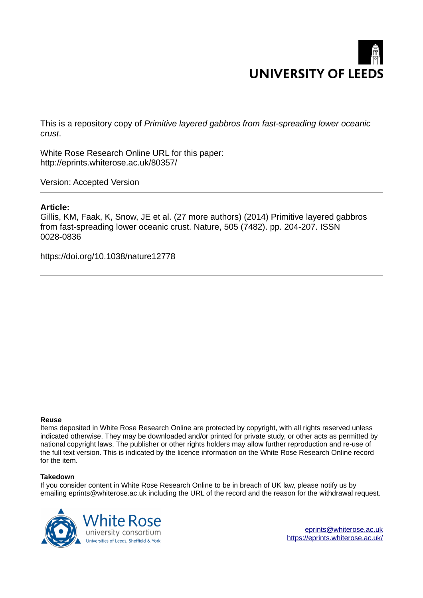

This is a repository copy of *Primitive layered gabbros from fast-spreading lower oceanic crust*.

White Rose Research Online URL for this paper: http://eprints.whiterose.ac.uk/80357/

Version: Accepted Version

## **Article:**

Gillis, KM, Faak, K, Snow, JE et al. (27 more authors) (2014) Primitive layered gabbros from fast-spreading lower oceanic crust. Nature, 505 (7482). pp. 204-207. ISSN 0028-0836

https://doi.org/10.1038/nature12778

#### **Reuse**

Items deposited in White Rose Research Online are protected by copyright, with all rights reserved unless indicated otherwise. They may be downloaded and/or printed for private study, or other acts as permitted by national copyright laws. The publisher or other rights holders may allow further reproduction and re-use of the full text version. This is indicated by the licence information on the White Rose Research Online record for the item.

#### **Takedown**

If you consider content in White Rose Research Online to be in breach of UK law, please notify us by emailing eprints@whiterose.ac.uk including the URL of the record and the reason for the withdrawal request.



[eprints@whiterose.ac.uk](mailto:eprints@whiterose.ac.uk) <https://eprints.whiterose.ac.uk/>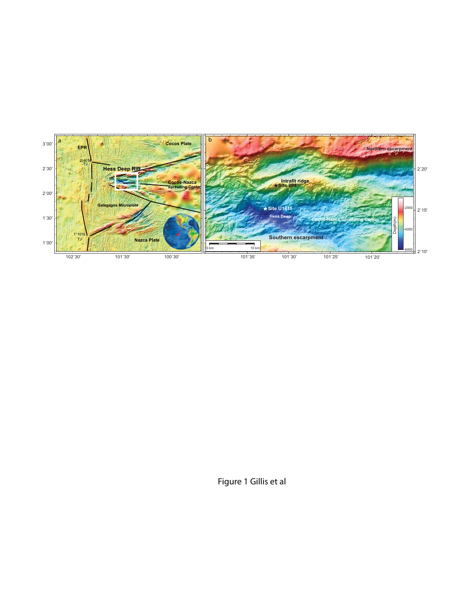

Figure 1 Gillis et al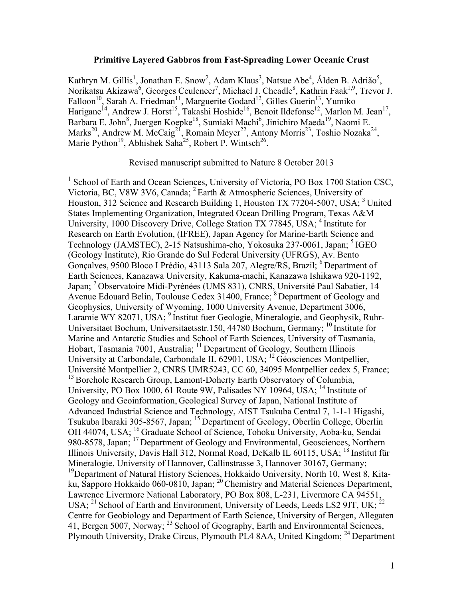### **Primitive Layered Gabbros from Fast-Spreading Lower Oceanic Crust**

Kathryn M. Gillis<sup>1</sup>, Jonathan E. Snow<sup>2</sup>, Adam Klaus<sup>3</sup>, Natsue Abe<sup>4</sup>, Álden B. Adrião<sup>5</sup>, Norikatsu Akizawa<sup>6</sup>, Georges Ceuleneer<sup>7</sup>, Michael J. Cheadle<sup>8</sup>, Kathrin Faak<sup>1,9</sup>, Trevor J. Falloon<sup>10</sup>, Sarah A. Friedman<sup>11</sup>, Marguerite Godard<sup>12</sup>, Gilles Guerin<sup>13</sup>, Yumiko Harigane<sup>14</sup>, Andrew J. Horst<sup>15</sup>, Takashi Hoshide<sup>16</sup>, Benoit Ildefonse<sup>12</sup>, Marlon M. Jean<sup>17</sup>, Barbara E. John<sup>8</sup>, Juergen Koepke<sup>18</sup>, Sumiaki Machi<sup>6</sup>, Jinichiro Maeda<sup>19</sup>, Naomi E. Marks<sup>20</sup>, Andrew M. McCaig<sup>21</sup>, Romain Meyer<sup>22</sup>, Antony Morris<sup>23</sup>, Toshio Nozaka<sup>24</sup>, Marie Python<sup>19</sup>, Abhishek Saha<sup>25</sup>, Robert P. Wintsch<sup>26</sup>.

Revised manuscript submitted to Nature 8 October 2013

<sup>1</sup> School of Earth and Ocean Sciences, University of Victoria, PO Box 1700 Station CSC, Victoria, BC, V8W 3V6, Canada;  ${}^{2}$  Earth & Atmospheric Sciences, University of Houston, 312 Science and Research Building 1, Houston TX 77204-5007, USA; <sup>3</sup> United States Implementing Organization, Integrated Ocean Drilling Program, Texas A&M University, 1000 Discovery Drive, College Station TX 77845, USA; <sup>4</sup> Institute for Research on Earth Evolution, (IFREE), Japan Agency for Marine-Earth Science and Technology (JAMSTEC), 2-15 Natsushima-cho, Yokosuka 237-0061, Japan; <sup>5</sup>IGEO (Geology Institute), Rio Grande do Sul Federal University (UFRGS), Av. Bento Gonçalves, 9500 Bloco I Prédio, 43113 Sala 207, Alegre/RS, Brazil; <sup>6</sup> Department of Earth Sciences, Kanazawa University, Kakuma-machi, Kanazawa Ishikawa 920-1192, Japan; <sup>7</sup>Observatoire Midi-Pyrénées (UMS 831), CNRS, Université Paul Sabatier, 14 Avenue Edouard Belin, Toulouse Cedex 31400, France; <sup>8</sup> Department of Geology and Geophysics, University of Wyoming, 1000 University Avenue, Department 3006, Laramie WY 82071, USA; <sup>9</sup> Institut fuer Geologie, Mineralogie, and Geophysik, Ruhr-Universitaet Bochum, Universitaetsstr.150, 44780 Bochum, Germany; <sup>10</sup> Institute for Marine and Antarctic Studies and School of Earth Sciences, University of Tasmania, Hobart, Tasmania 7001, Australia; <sup>11</sup> Department of Geology, Southern Illinois University at Carbondale, Carbondale IL 62901, USA; <sup>12</sup>Géosciences Montpellier, Université Montpellier 2, CNRS UMR5243, CC 60, 34095 Montpellier cedex 5, France; <sup>13</sup> Borehole Research Group, Lamont-Doherty Earth Observatory of Columbia, University, PO Box 1000, 61 Route 9W, Palisades NY 10964, USA;  $^{14}$  Institute of Geology and Geoinformation, Geological Survey of Japan, National Institute of Advanced Industrial Science and Technology, AIST Tsukuba Central 7, 1-1-1 Higashi, Tsukuba Ibaraki 305-8567, Japan; <sup>15</sup> Department of Geology, Oberlin College, Oberlin OH 44074, USA; <sup>16</sup> Graduate School of Science, Tohoku University, Aoba-ku, Sendai 980-8578, Japan; <sup>17</sup> Department of Geology and Environmental, Geosciences, Northern Illinois University, Davis Hall 312, Normal Road, DeKalb IL 60115, USA; <sup>18</sup> Institut für Mineralogie, University of Hannover, Callinstrasse 3, Hannover 30167, Germany; <sup>19</sup>Department of Natural History Sciences, Hokkaido University, North 10, West 8, Kitaku, Sapporo Hokkaido 060-0810, Japan; <sup>20</sup> Chemistry and Material Sciences Department, Lawrence Livermore National Laboratory, PO Box 808, L-231, Livermore CA 94551, USA; <sup>21</sup> School of Earth and Environment, University of Leeds, Leeds LS2 9JT, UK; <sup>22</sup> Centre for Geobiology and Department of Earth Science, University of Bergen, Allegaten 41, Bergen 5007, Norway; <sup>23</sup> School of Geography, Earth and Environmental Sciences, Plymouth University, Drake Circus, Plymouth PL4 8AA, United Kingdom; <sup>24</sup> Department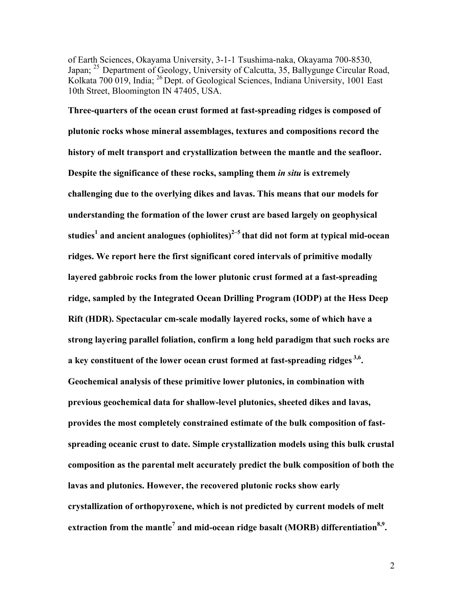of Earth Sciences, Okayama University, 3-1-1 Tsushima-naka, Okayama 700-8530, Japan; <sup>25</sup> Department of Geology, University of Calcutta, 35, Ballygunge Circular Road, Kolkata 700 019, India; <sup>26</sup> Dept. of Geological Sciences, Indiana University, 1001 East 10th Street, Bloomington IN 47405, USA.

**Three-quarters of the ocean crust formed at fast-spreading ridges is composed of plutonic rocks whose mineral assemblages, textures and compositions record the history of melt transport and crystallization between the mantle and the seafloor. Despite the significance of these rocks, sampling them** *in situ* **is extremely challenging due to the overlying dikes and lavas. This means that our models for understanding the formation of the lower crust are based largely on geophysical studies<sup>1</sup> and ancient analogues (ophiolites)2–5 that did not form at typical mid-ocean ridges. We report here the first significant cored intervals of primitive modally layered gabbroic rocks from the lower plutonic crust formed at a fast-spreading ridge, sampled by the Integrated Ocean Drilling Program (IODP) at the Hess Deep Rift (HDR). Spectacular cm-scale modally layered rocks, some of which have a strong layering parallel foliation, confirm a long held paradigm that such rocks are a key constituent of the lower ocean crust formed at fast-spreading ridges 3,6 . Geochemical analysis of these primitive lower plutonics, in combination with previous geochemical data for shallow-level plutonics, sheeted dikes and lavas, provides the most completely constrained estimate of the bulk composition of fastspreading oceanic crust to date. Simple crystallization models using this bulk crustal composition as the parental melt accurately predict the bulk composition of both the lavas and plutonics. However, the recovered plutonic rocks show early crystallization of orthopyroxene, which is not predicted by current models of melt extraction from the mantle<sup>7</sup> and mid-ocean ridge basalt (MORB) differentiation8,9 .**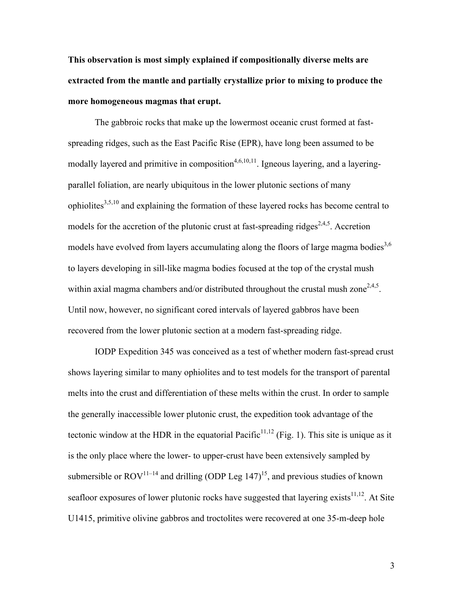**This observation is most simply explained if compositionally diverse melts are extracted from the mantle and partially crystallize prior to mixing to produce the more homogeneous magmas that erupt.** 

The gabbroic rocks that make up the lowermost oceanic crust formed at fastspreading ridges, such as the East Pacific Rise (EPR), have long been assumed to be modally layered and primitive in composition<sup> $4,6,10,11$ </sup>. Igneous layering, and a layeringparallel foliation, are nearly ubiquitous in the lower plutonic sections of many ophiolites $^{3,5,10}$  and explaining the formation of these layered rocks has become central to models for the accretion of the plutonic crust at fast-spreading ridges<sup>2,4,5</sup>. Accretion models have evolved from layers accumulating along the floors of large magma bodies<sup>3,6</sup> to layers developing in sill-like magma bodies focused at the top of the crystal mush within axial magma chambers and/or distributed throughout the crustal mush zone<sup>2,4,5</sup>. Until now, however, no significant cored intervals of layered gabbros have been recovered from the lower plutonic section at a modern fast-spreading ridge.

IODP Expedition 345 was conceived as a test of whether modern fast-spread crust shows layering similar to many ophiolites and to test models for the transport of parental melts into the crust and differentiation of these melts within the crust. In order to sample the generally inaccessible lower plutonic crust, the expedition took advantage of the tectonic window at the HDR in the equatorial Pacific<sup>11,12</sup> (Fig. 1). This site is unique as it is the only place where the lower- to upper-crust have been extensively sampled by submersible or  $ROV^{11-14}$  and drilling (ODP Leg 147)<sup>15</sup>, and previous studies of known seafloor exposures of lower plutonic rocks have suggested that layering exists $^{11,12}$ . At Site U1415, primitive olivine gabbros and troctolites were recovered at one 35-m-deep hole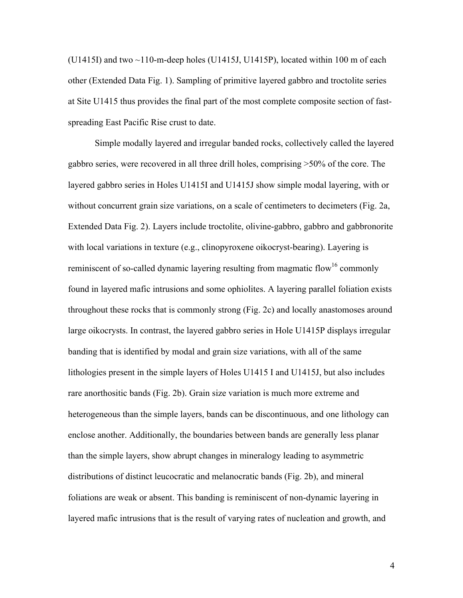$(U1415I)$  and two  $\sim$ 110-m-deep holes (U1415J, U1415P), located within 100 m of each other (Extended Data Fig. 1). Sampling of primitive layered gabbro and troctolite series at Site U1415 thus provides the final part of the most complete composite section of fastspreading East Pacific Rise crust to date.

Simple modally layered and irregular banded rocks, collectively called the layered gabbro series, were recovered in all three drill holes, comprising >50% of the core. The layered gabbro series in Holes U1415I and U1415J show simple modal layering, with or without concurrent grain size variations, on a scale of centimeters to decimeters (Fig. 2a, Extended Data Fig. 2). Layers include troctolite, olivine-gabbro, gabbro and gabbronorite with local variations in texture (e.g., clinopyroxene oikocryst-bearing). Layering is reminiscent of so-called dynamic layering resulting from magmatic flow<sup>16</sup> commonly found in layered mafic intrusions and some ophiolites. A layering parallel foliation exists throughout these rocks that is commonly strong (Fig. 2c) and locally anastomoses around large oikocrysts. In contrast, the layered gabbro series in Hole U1415P displays irregular banding that is identified by modal and grain size variations, with all of the same lithologies present in the simple layers of Holes U1415 I and U1415J, but also includes rare anorthositic bands (Fig. 2b). Grain size variation is much more extreme and heterogeneous than the simple layers, bands can be discontinuous, and one lithology can enclose another. Additionally, the boundaries between bands are generally less planar than the simple layers, show abrupt changes in mineralogy leading to asymmetric distributions of distinct leucocratic and melanocratic bands (Fig. 2b), and mineral foliations are weak or absent. This banding is reminiscent of non-dynamic layering in layered mafic intrusions that is the result of varying rates of nucleation and growth, and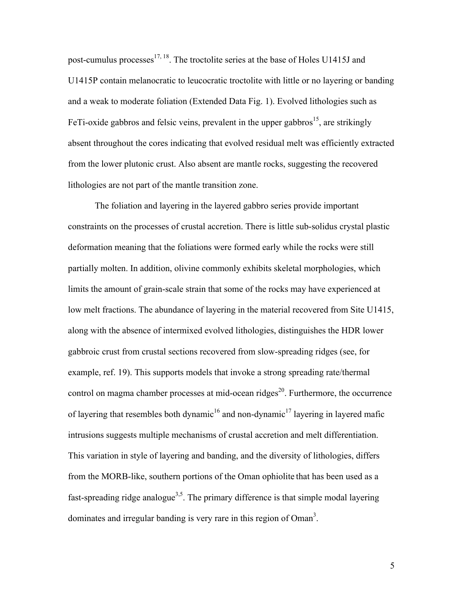post-cumulus processes<sup>17, 18</sup>. The troctolite series at the base of Holes U1415J and U1415P contain melanocratic to leucocratic troctolite with little or no layering or banding and a weak to moderate foliation (Extended Data Fig. 1). Evolved lithologies such as FeTi-oxide gabbros and felsic veins, prevalent in the upper gabbros<sup>15</sup>, are strikingly absent throughout the cores indicating that evolved residual melt was efficiently extracted from the lower plutonic crust. Also absent are mantle rocks, suggesting the recovered lithologies are not part of the mantle transition zone.

The foliation and layering in the layered gabbro series provide important constraints on the processes of crustal accretion. There is little sub-solidus crystal plastic deformation meaning that the foliations were formed early while the rocks were still partially molten. In addition, olivine commonly exhibits skeletal morphologies, which limits the amount of grain-scale strain that some of the rocks may have experienced at low melt fractions. The abundance of layering in the material recovered from Site U1415, along with the absence of intermixed evolved lithologies, distinguishes the HDR lower gabbroic crust from crustal sections recovered from slow-spreading ridges (see, for example, ref. 19). This supports models that invoke a strong spreading rate/thermal control on magma chamber processes at mid-ocean ridges<sup>20</sup>. Furthermore, the occurrence of layering that resembles both dynamic<sup>16</sup> and non-dynamic<sup>17</sup> layering in layered mafic intrusions suggests multiple mechanisms of crustal accretion and melt differentiation. This variation in style of layering and banding, and the diversity of lithologies, differs from the MORB-like, southern portions of the Oman ophiolite that has been used as a fast-spreading ridge analogue<sup>3,5</sup>. The primary difference is that simple modal layering dominates and irregular banding is very rare in this region of  $Oman<sup>3</sup>$ .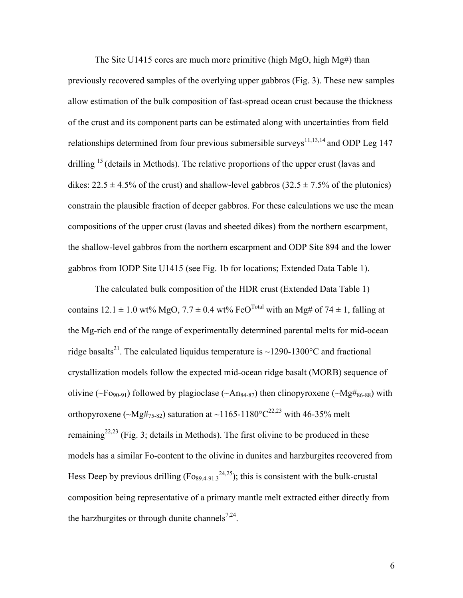The Site U1415 cores are much more primitive (high MgO, high Mg#) than previously recovered samples of the overlying upper gabbros (Fig. 3). These new samples allow estimation of the bulk composition of fast-spread ocean crust because the thickness of the crust and its component parts can be estimated along with uncertainties from field relationships determined from four previous submersible surveys<sup>11,13,14</sup> and ODP Leg 147 drilling  $15$  (details in Methods). The relative proportions of the upper crust (lavas and dikes:  $22.5 \pm 4.5\%$  of the crust) and shallow-level gabbros ( $32.5 \pm 7.5\%$  of the plutonics) constrain the plausible fraction of deeper gabbros. For these calculations we use the mean compositions of the upper crust (lavas and sheeted dikes) from the northern escarpment, the shallow-level gabbros from the northern escarpment and ODP Site 894 and the lower gabbros from IODP Site U1415 (see Fig. 1b for locations; Extended Data Table 1).

The calculated bulk composition of the HDR crust (Extended Data Table 1) contains  $12.1 \pm 1.0$  wt% MgO,  $7.7 \pm 0.4$  wt% FeO<sup>Total</sup> with an Mg# of  $74 \pm 1$ , falling at the Mg-rich end of the range of experimentally determined parental melts for mid-ocean ridge basalts<sup>21</sup>. The calculated liquidus temperature is ~1290-1300 °C and fractional crystallization models follow the expected mid-ocean ridge basalt (MORB) sequence of olivine (~Fo<sub>90-91</sub>) followed by plagioclase (~An<sub>84-87</sub>) then clinopyroxene (~Mg#<sub>86-88</sub>) with orthopyroxene ( $\sim$ Mg#<sub>75-82</sub>) saturation at  $\sim$ 1165-1180°C<sup>22,23</sup> with 46-35% melt remaining<sup>22,23</sup> (Fig. 3; details in Methods). The first olivine to be produced in these models has a similar Fo-content to the olivine in dunites and harzburgites recovered from Hess Deep by previous drilling  $(F_{089,4-91.3}^{24,25})$ ; this is consistent with the bulk-crustal composition being representative of a primary mantle melt extracted either directly from the harzburgites or through dunite channels<sup>7,24</sup>.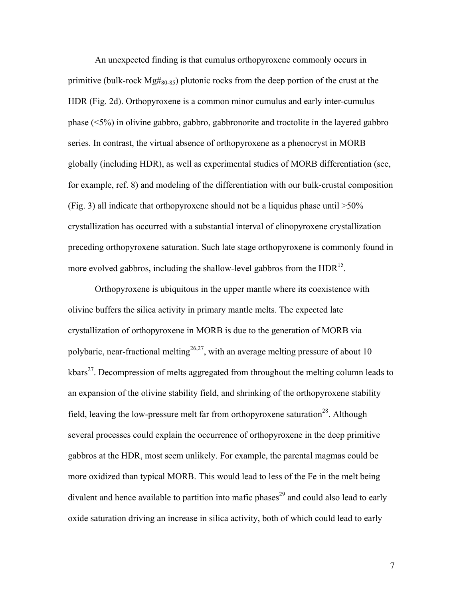An unexpected finding is that cumulus orthopyroxene commonly occurs in primitive (bulk-rock  $Mg#_{80-85}$ ) plutonic rocks from the deep portion of the crust at the HDR (Fig. 2d). Orthopyroxene is a common minor cumulus and early inter-cumulus phase (<5%) in olivine gabbro, gabbro, gabbronorite and troctolite in the layered gabbro series. In contrast, the virtual absence of orthopyroxene as a phenocryst in MORB globally (including HDR), as well as experimental studies of MORB differentiation (see, for example, ref. 8) and modeling of the differentiation with our bulk-crustal composition (Fig. 3) all indicate that orthopyroxene should not be a liquidus phase until  $>50\%$ crystallization has occurred with a substantial interval of clinopyroxene crystallization preceding orthopyroxene saturation. Such late stage orthopyroxene is commonly found in more evolved gabbros, including the shallow-level gabbros from the  $HDR<sup>15</sup>$ .

Orthopyroxene is ubiquitous in the upper mantle where its coexistence with olivine buffers the silica activity in primary mantle melts. The expected late crystallization of orthopyroxene in MORB is due to the generation of MORB via polybaric, near-fractional melting<sup>26,27</sup>, with an average melting pressure of about 10 kbars<sup>27</sup>. Decompression of melts aggregated from throughout the melting column leads to an expansion of the olivine stability field, and shrinking of the orthopyroxene stability field, leaving the low-pressure melt far from orthopyroxene saturation<sup>28</sup>. Although several processes could explain the occurrence of orthopyroxene in the deep primitive gabbros at the HDR, most seem unlikely. For example, the parental magmas could be more oxidized than typical MORB. This would lead to less of the Fe in the melt being divalent and hence available to partition into mafic phases<sup>29</sup> and could also lead to early oxide saturation driving an increase in silica activity, both of which could lead to early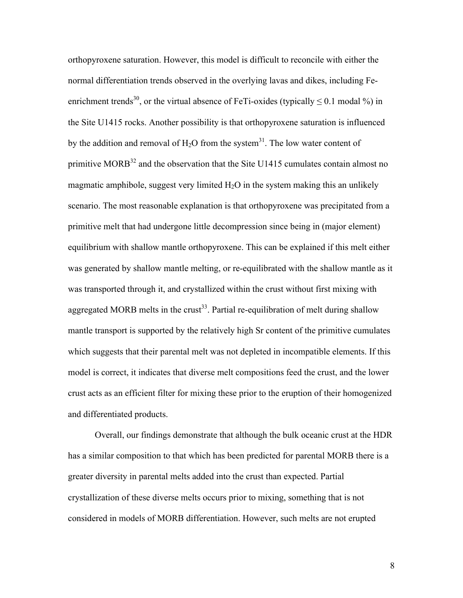orthopyroxene saturation. However, this model is difficult to reconcile with either the normal differentiation trends observed in the overlying lavas and dikes, including Feenrichment trends<sup>30</sup>, or the virtual absence of FeTi-oxides (typically  $\leq 0.1$  modal %) in the Site U1415 rocks. Another possibility is that orthopyroxene saturation is influenced by the addition and removal of  $H_2O$  from the system<sup>31</sup>. The low water content of primitive MORB<sup>32</sup> and the observation that the Site U1415 cumulates contain almost no magmatic amphibole, suggest very limited  $H_2O$  in the system making this an unlikely scenario. The most reasonable explanation is that orthopyroxene was precipitated from a primitive melt that had undergone little decompression since being in (major element) equilibrium with shallow mantle orthopyroxene. This can be explained if this melt either was generated by shallow mantle melting, or re-equilibrated with the shallow mantle as it was transported through it, and crystallized within the crust without first mixing with aggregated MORB melts in the crust<sup>33</sup>. Partial re-equilibration of melt during shallow mantle transport is supported by the relatively high Sr content of the primitive cumulates which suggests that their parental melt was not depleted in incompatible elements. If this model is correct, it indicates that diverse melt compositions feed the crust, and the lower crust acts as an efficient filter for mixing these prior to the eruption of their homogenized and differentiated products.

Overall, our findings demonstrate that although the bulk oceanic crust at the HDR has a similar composition to that which has been predicted for parental MORB there is a greater diversity in parental melts added into the crust than expected. Partial crystallization of these diverse melts occurs prior to mixing, something that is not considered in models of MORB differentiation. However, such melts are not erupted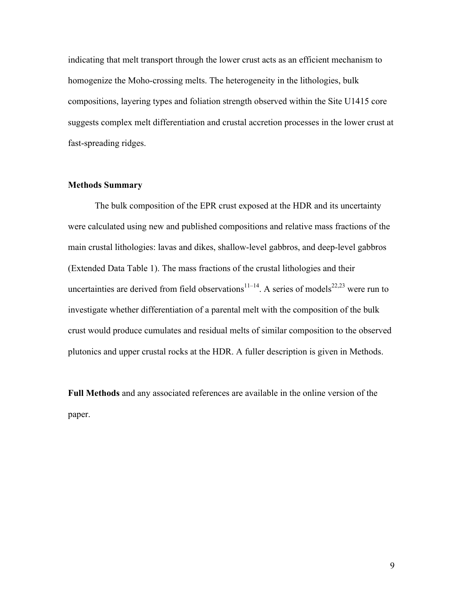indicating that melt transport through the lower crust acts as an efficient mechanism to homogenize the Moho-crossing melts. The heterogeneity in the lithologies, bulk compositions, layering types and foliation strength observed within the Site U1415 core suggests complex melt differentiation and crustal accretion processes in the lower crust at fast-spreading ridges.

# **Methods Summary**

The bulk composition of the EPR crust exposed at the HDR and its uncertainty were calculated using new and published compositions and relative mass fractions of the main crustal lithologies: lavas and dikes, shallow-level gabbros, and deep-level gabbros (Extended Data Table 1). The mass fractions of the crustal lithologies and their uncertainties are derived from field observations<sup>11–14</sup>. A series of models<sup>22,23</sup> were run to investigate whether differentiation of a parental melt with the composition of the bulk crust would produce cumulates and residual melts of similar composition to the observed plutonics and upper crustal rocks at the HDR. A fuller description is given in Methods.

**Full Methods** and any associated references are available in the online version of the paper.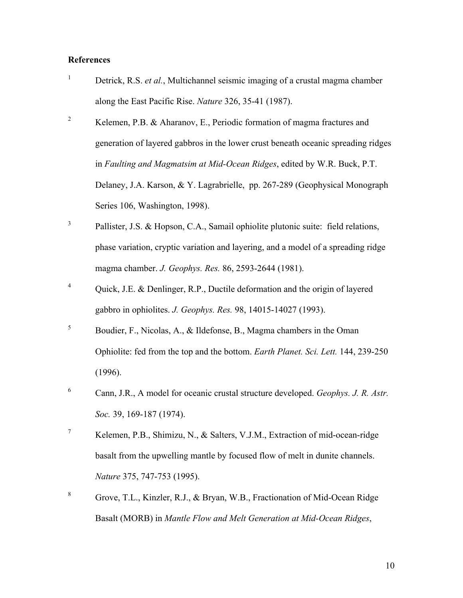# **References**

- <sup>1</sup> Detrick, R.S. *et al.*, Multichannel seismic imaging of a crustal magma chamber along the East Pacific Rise. *Nature* 326, 35-41 (1987).
- <sup>2</sup> Kelemen, P.B. & Aharanov, E., Periodic formation of magma fractures and generation of layered gabbros in the lower crust beneath oceanic spreading ridges in *Faulting and Magmatsim at Mid-Ocean Ridges*, edited by W.R. Buck, P.T. Delaney, J.A. Karson, & Y. Lagrabrielle, pp. 267-289 (Geophysical Monograph Series 106, Washington, 1998).
- 3 Pallister, J.S. & Hopson, C.A., Samail ophiolite plutonic suite: field relations, phase variation, cryptic variation and layering, and a model of a spreading ridge magma chamber. *J. Geophys. Res.* 86, 2593-2644 (1981).
- <sup>4</sup> Quick, J.E. & Denlinger, R.P., Ductile deformation and the origin of layered gabbro in ophiolites. *J. Geophys. Res.* 98, 14015-14027 (1993).
- <sup>5</sup> Boudier, F., Nicolas, A., & Ildefonse, B., Magma chambers in the Oman Ophiolite: fed from the top and the bottom. *Earth Planet. Sci. Lett.* 144, 239-250 (1996).
- <sup>6</sup> Cann, J.R., A model for oceanic crustal structure developed. *Geophys. J. R. Astr. Soc.* 39, 169-187 (1974).
- <sup>7</sup> Kelemen, P.B., Shimizu, N., & Salters, V.J.M., Extraction of mid-ocean-ridge basalt from the upwelling mantle by focused flow of melt in dunite channels. *Nature* 375, 747-753 (1995).
- <sup>8</sup> Grove, T.L., Kinzler, R.J., & Bryan, W.B., Fractionation of Mid-Ocean Ridge Basalt (MORB) in *Mantle Flow and Melt Generation at Mid-Ocean Ridges*,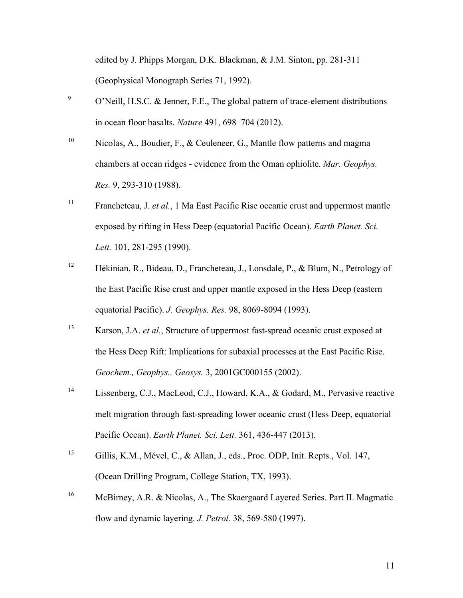edited by J. Phipps Morgan, D.K. Blackman, & J.M. Sinton, pp. 281-311 (Geophysical Monograph Series 71, 1992).

- $9^9$  O'Neill, H.S.C. & Jenner, F.E., The global pattern of trace-element distributions in ocean floor basalts. *Nature* 491, 698–704 (2012).
- <sup>10</sup> Nicolas, A., Boudier, F., & Ceuleneer, G., Mantle flow patterns and magma chambers at ocean ridges - evidence from the Oman ophiolite. *Mar. Geophys. Res.* 9, 293-310 (1988).
- <sup>11</sup> Francheteau, J. *et al.*, 1 Ma East Pacific Rise oceanic crust and uppermost mantle exposed by rifting in Hess Deep (equatorial Pacific Ocean). *Earth Planet. Sci. Lett.* 101, 281-295 (1990).
- <sup>12</sup> Hékinian, R., Bideau, D., Francheteau, J., Lonsdale, P., & Blum, N., Petrology of the East Pacific Rise crust and upper mantle exposed in the Hess Deep (eastern equatorial Pacific). *J. Geophys. Res.* 98, 8069-8094 (1993).
- <sup>13</sup> Karson, J.A. *et al.*, Structure of uppermost fast-spread oceanic crust exposed at the Hess Deep Rift: Implications for subaxial processes at the East Pacific Rise. *Geochem., Geophys., Geosys.* 3, 2001GC000155 (2002).
- <sup>14</sup> Lissenberg, C.J., MacLeod, C.J., Howard, K.A., & Godard, M., Pervasive reactive melt migration through fast-spreading lower oceanic crust (Hess Deep, equatorial Pacific Ocean). *Earth Planet. Sci. Lett.* 361, 436-447 (2013).
- <sup>15</sup> Gillis, K.M., Mével, C., & Allan, J., eds., Proc. ODP, Init. Repts., Vol. 147, (Ocean Drilling Program, College Station, TX, 1993).
- <sup>16</sup> McBirney, A.R. & Nicolas, A., The Skaergaard Layered Series. Part II. Magmatic flow and dynamic layering. *J. Petrol.* 38, 569-580 (1997).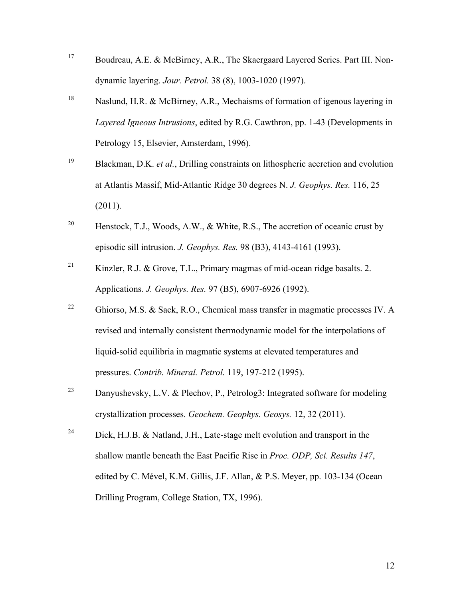- <sup>17</sup> Boudreau, A.E. & McBirney, A.R., The Skaergaard Layered Series. Part III. Nondynamic layering. *Jour. Petrol.* 38 (8), 1003-1020 (1997).
- <sup>18</sup> Naslund, H.R. & McBirney, A.R., Mechaisms of formation of igenous layering in *Layered Igneous Intrusions*, edited by R.G. Cawthron, pp. 1-43 (Developments in Petrology 15, Elsevier, Amsterdam, 1996).
- <sup>19</sup> Blackman, D.K. *et al.*, Drilling constraints on lithospheric accretion and evolution at Atlantis Massif, Mid-Atlantic Ridge 30 degrees N. *J. Geophys. Res.* 116, 25 (2011).
- <sup>20</sup> Henstock, T.J., Woods, A.W., & White, R.S., The accretion of oceanic crust by episodic sill intrusion. *J. Geophys. Res.* 98 (B3), 4143-4161 (1993).
- <sup>21</sup> Kinzler, R.J. & Grove, T.L., Primary magmas of mid-ocean ridge basalts. 2. Applications. *J. Geophys. Res.* 97 (B5), 6907-6926 (1992).
- <sup>22</sup> Ghiorso, M.S. & Sack, R.O., Chemical mass transfer in magmatic processes IV. A revised and internally consistent thermodynamic model for the interpolations of liquid-solid equilibria in magmatic systems at elevated temperatures and pressures. *Contrib. Mineral. Petrol.* 119, 197-212 (1995).
- <sup>23</sup> Danyushevsky, L.V. & Plechov, P., Petrolog3: Integrated software for modeling crystallization processes. *Geochem. Geophys. Geosys.* 12, 32 (2011).
- <sup>24</sup> Dick, H.J.B. & Natland, J.H., Late-stage melt evolution and transport in the shallow mantle beneath the East Pacific Rise in *Proc. ODP, Sci. Results 147*, edited by C. Mével, K.M. Gillis, J.F. Allan, & P.S. Meyer, pp. 103-134 (Ocean Drilling Program, College Station, TX, 1996).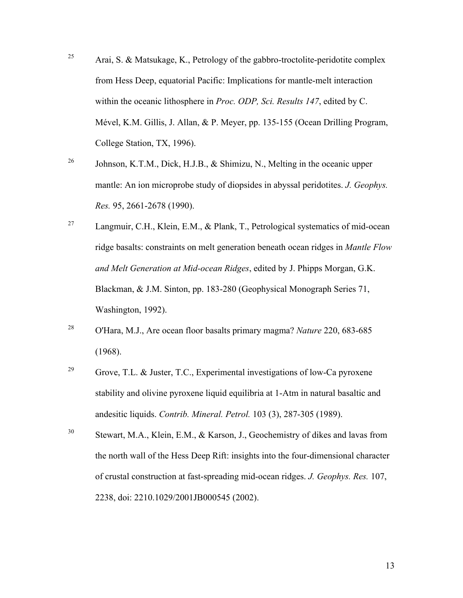- <sup>25</sup> Arai, S. & Matsukage, K., Petrology of the gabbro-troctolite-peridotite complex from Hess Deep, equatorial Pacific: Implications for mantle-melt interaction within the oceanic lithosphere in *Proc. ODP, Sci. Results 147*, edited by C. Mével, K.M. Gillis, J. Allan, & P. Meyer, pp. 135-155 (Ocean Drilling Program, College Station, TX, 1996).
- <sup>26</sup> Johnson, K.T.M., Dick, H.J.B.,  $\&$  Shimizu, N., Melting in the oceanic upper mantle: An ion microprobe study of diopsides in abyssal peridotites. *J. Geophys. Res.* 95, 2661-2678 (1990).
- <sup>27</sup> Langmuir, C.H., Klein, E.M., & Plank, T., Petrological systematics of mid-ocean ridge basalts: constraints on melt generation beneath ocean ridges in *Mantle Flow and Melt Generation at Mid-ocean Ridges*, edited by J. Phipps Morgan, G.K. Blackman, & J.M. Sinton, pp. 183-280 (Geophysical Monograph Series 71, Washington, 1992).
- <sup>28</sup> O'Hara, M.J., Are ocean floor basalts primary magma? *Nature* 220, 683-685 (1968).
- <sup>29</sup> Grove, T.L. & Juster, T.C., Experimental investigations of low-Ca pyroxene stability and olivine pyroxene liquid equilibria at 1-Atm in natural basaltic and andesitic liquids. *Contrib. Mineral. Petrol.* 103 (3), 287-305 (1989).
- <sup>30</sup> Stewart, M.A., Klein, E.M., & Karson, J., Geochemistry of dikes and lavas from the north wall of the Hess Deep Rift: insights into the four-dimensional character of crustal construction at fast-spreading mid-ocean ridges. *J. Geophys. Res.* 107, 2238, doi: 2210.1029/2001JB000545 (2002).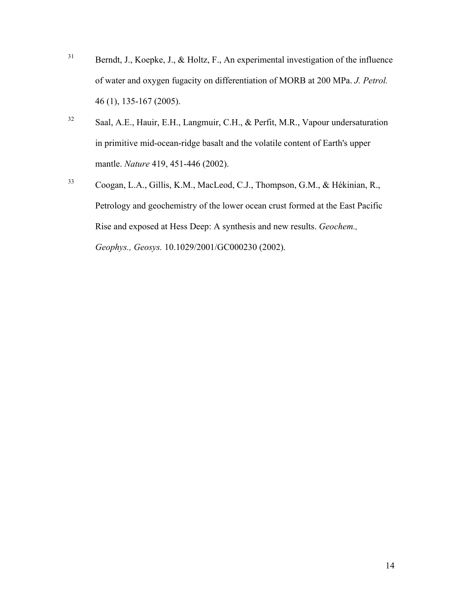- <sup>31</sup> Berndt, J., Koepke, J., & Holtz, F., An experimental investigation of the influence of water and oxygen fugacity on differentiation of MORB at 200 MPa. *J. Petrol.* 46 (1), 135-167 (2005).
- <sup>32</sup> Saal, A.E., Hauir, E.H., Langmuir, C.H., & Perfit, M.R., Vapour undersaturation in primitive mid-ocean-ridge basalt and the volatile content of Earth's upper mantle. *Nature* 419, 451-446 (2002).
- <sup>33</sup> Coogan, L.A., Gillis, K.M., MacLeod, C.J., Thompson, G.M., & Hékinian, R., Petrology and geochemistry of the lower ocean crust formed at the East Pacific Rise and exposed at Hess Deep: A synthesis and new results. *Geochem., Geophys., Geosys.* 10.1029/2001/GC000230 (2002).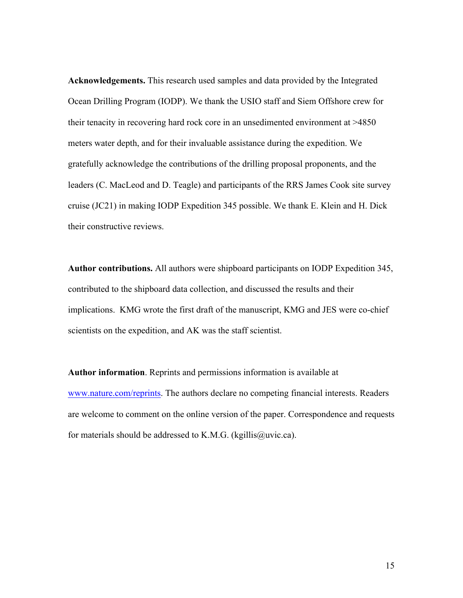**Acknowledgements.** This research used samples and data provided by the Integrated Ocean Drilling Program (IODP). We thank the USIO staff and Siem Offshore crew for their tenacity in recovering hard rock core in an unsedimented environment at >4850 meters water depth, and for their invaluable assistance during the expedition. We gratefully acknowledge the contributions of the drilling proposal proponents, and the leaders (C. MacLeod and D. Teagle) and participants of the RRS James Cook site survey cruise (JC21) in making IODP Expedition 345 possible. We thank E. Klein and H. Dick their constructive reviews.

**Author contributions.** All authors were shipboard participants on IODP Expedition 345, contributed to the shipboard data collection, and discussed the results and their implications. KMG wrote the first draft of the manuscript, KMG and JES were co-chief scientists on the expedition, and AK was the staff scientist.

**Author information**. Reprints and permissions information is available at www.nature.com/reprints. The authors declare no competing financial interests. Readers are welcome to comment on the online version of the paper. Correspondence and requests for materials should be addressed to K.M.G. (kgillis@uvic.ca).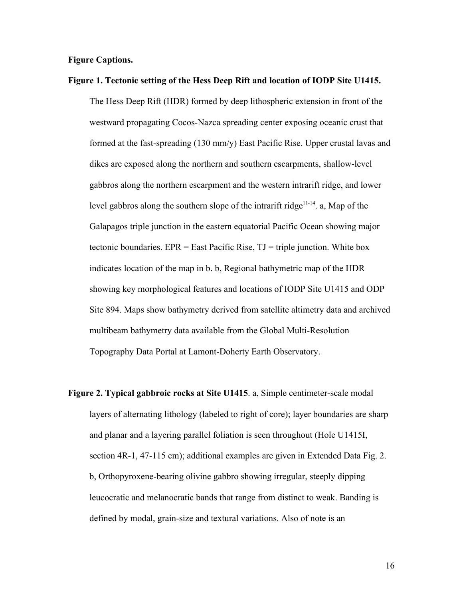## **Figure Captions.**

#### **Figure 1. Tectonic setting of the Hess Deep Rift and location of IODP Site U1415.**

The Hess Deep Rift (HDR) formed by deep lithospheric extension in front of the westward propagating Cocos-Nazca spreading center exposing oceanic crust that formed at the fast-spreading (130 mm/y) East Pacific Rise. Upper crustal lavas and dikes are exposed along the northern and southern escarpments, shallow-level gabbros along the northern escarpment and the western intrarift ridge, and lower level gabbros along the southern slope of the intrarift ridge<sup>11-14</sup>. a, Map of the Galapagos triple junction in the eastern equatorial Pacific Ocean showing major tectonic boundaries.  $EPR = East Pacific Rise$ ,  $TJ = triple junction$ . White box indicates location of the map in b. b, Regional bathymetric map of the HDR showing key morphological features and locations of IODP Site U1415 and ODP Site 894. Maps show bathymetry derived from satellite altimetry data and archived multibeam bathymetry data available from the Global Multi-Resolution Topography Data Portal at Lamont-Doherty Earth Observatory.

**Figure 2. Typical gabbroic rocks at Site U1415**. a, Simple centimeter-scale modal layers of alternating lithology (labeled to right of core); layer boundaries are sharp and planar and a layering parallel foliation is seen throughout (Hole U1415I, section 4R-1, 47-115 cm); additional examples are given in Extended Data Fig. 2. b, Orthopyroxene-bearing olivine gabbro showing irregular, steeply dipping leucocratic and melanocratic bands that range from distinct to weak. Banding is defined by modal, grain-size and textural variations. Also of note is an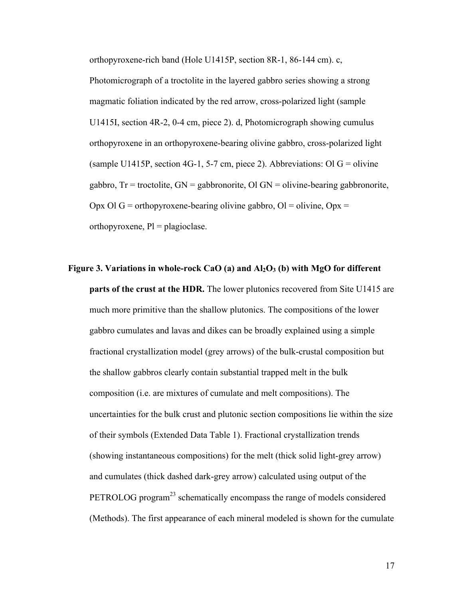orthopyroxene-rich band (Hole U1415P, section 8R-1, 86-144 cm). c,

Photomicrograph of a troctolite in the layered gabbro series showing a strong magmatic foliation indicated by the red arrow, cross-polarized light (sample U1415I, section 4R-2, 0-4 cm, piece 2). d, Photomicrograph showing cumulus orthopyroxene in an orthopyroxene-bearing olivine gabbro, cross-polarized light (sample U1415P, section 4G-1, 5-7 cm, piece 2). Abbreviations: Ol G = olivine gabbro,  $Tr =$  troctolite,  $GN =$  gabbronorite,  $OI$   $GN =$  olivine-bearing gabbronorite, Opx Ol G = orthopyroxene-bearing olivine gabbro, Ol = olivine, Opx = orthopyroxene,  $Pl =$  plagioclase.

**Figure 3. Variations in whole-rock CaO (a) and Al2O<sup>3</sup> (b) with MgO for different parts of the crust at the HDR.** The lower plutonics recovered from Site U1415 are much more primitive than the shallow plutonics. The compositions of the lower gabbro cumulates and lavas and dikes can be broadly explained using a simple fractional crystallization model (grey arrows) of the bulk-crustal composition but the shallow gabbros clearly contain substantial trapped melt in the bulk composition (i.e. are mixtures of cumulate and melt compositions). The uncertainties for the bulk crust and plutonic section compositions lie within the size of their symbols (Extended Data Table 1). Fractional crystallization trends (showing instantaneous compositions) for the melt (thick solid light-grey arrow) and cumulates (thick dashed dark-grey arrow) calculated using output of the PETROLOG program<sup>23</sup> schematically encompass the range of models considered (Methods). The first appearance of each mineral modeled is shown for the cumulate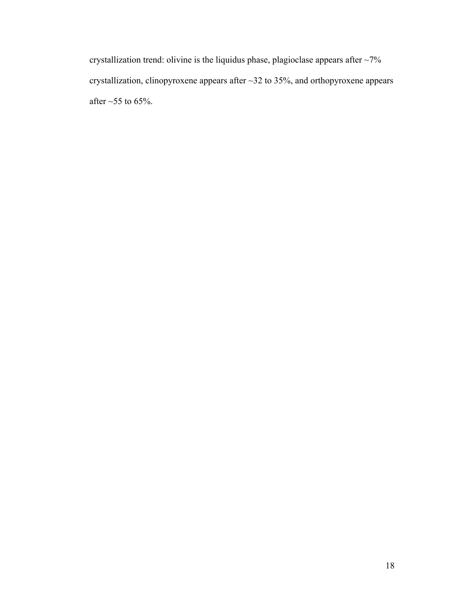crystallization trend: olivine is the liquidus phase, plagioclase appears after ~7% crystallization, clinopyroxene appears after ~32 to 35%, and orthopyroxene appears after  $\sim$  55 to 65%.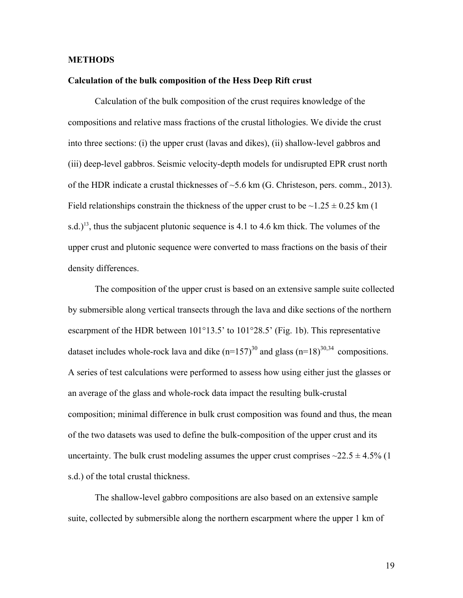### **METHODS**

#### **Calculation of the bulk composition of the Hess Deep Rift crust**

Calculation of the bulk composition of the crust requires knowledge of the compositions and relative mass fractions of the crustal lithologies. We divide the crust into three sections: (i) the upper crust (lavas and dikes), (ii) shallow-level gabbros and (iii) deep-level gabbros. Seismic velocity-depth models for undisrupted EPR crust north of the HDR indicate a crustal thicknesses of ~5.6 km (G. Christeson, pers. comm., 2013). Field relationships constrain the thickness of the upper crust to be  $\sim$ 1.25  $\pm$  0.25 km (1) s.d.)<sup>13</sup>, thus the subjacent plutonic sequence is 4.1 to 4.6 km thick. The volumes of the upper crust and plutonic sequence were converted to mass fractions on the basis of their density differences.

The composition of the upper crust is based on an extensive sample suite collected by submersible along vertical transects through the lava and dike sections of the northern escarpment of the HDR between 101°13.5' to 101°28.5' (Fig. 1b). This representative dataset includes whole-rock lava and dike  $(n=157)^{30}$  and glass  $(n=18)^{30,34}$  compositions. A series of test calculations were performed to assess how using either just the glasses or an average of the glass and whole-rock data impact the resulting bulk-crustal composition; minimal difference in bulk crust composition was found and thus, the mean of the two datasets was used to define the bulk-composition of the upper crust and its uncertainty. The bulk crust modeling assumes the upper crust comprises  $\sim$ 22.5  $\pm$  4.5% (1) s.d.) of the total crustal thickness.

The shallow-level gabbro compositions are also based on an extensive sample suite, collected by submersible along the northern escarpment where the upper 1 km of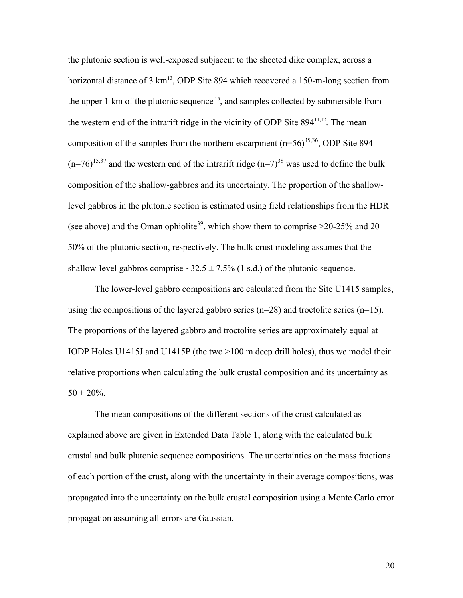the plutonic section is well-exposed subjacent to the sheeted dike complex, across a horizontal distance of  $3 \text{ km}^{13}$ , ODP Site 894 which recovered a 150-m-long section from the upper 1 km of the plutonic sequence  $15$ , and samples collected by submersible from the western end of the intrarift ridge in the vicinity of ODP Site  $894^{11,12}$ . The mean composition of the samples from the northern escarpment  $(n=56)^{35,36}$ , ODP Site 894  $(n=76)^{15,37}$  and the western end of the intrarift ridge  $(n=7)^{38}$  was used to define the bulk composition of the shallow-gabbros and its uncertainty. The proportion of the shallowlevel gabbros in the plutonic section is estimated using field relationships from the HDR (see above) and the Oman ophiolite<sup>39</sup>, which show them to comprise  $>20-25\%$  and 20– 50% of the plutonic section, respectively. The bulk crust modeling assumes that the shallow-level gabbros comprise  $\sim$ 32.5  $\pm$  7.5% (1 s.d.) of the plutonic sequence.

The lower-level gabbro compositions are calculated from the Site U1415 samples, using the compositions of the layered gabbro series  $(n=28)$  and troctolite series  $(n=15)$ . The proportions of the layered gabbro and troctolite series are approximately equal at IODP Holes U1415J and U1415P (the two >100 m deep drill holes), thus we model their relative proportions when calculating the bulk crustal composition and its uncertainty as  $50 \pm 20\%$ .

The mean compositions of the different sections of the crust calculated as explained above are given in Extended Data Table 1, along with the calculated bulk crustal and bulk plutonic sequence compositions. The uncertainties on the mass fractions of each portion of the crust, along with the uncertainty in their average compositions, was propagated into the uncertainty on the bulk crustal composition using a Monte Carlo error propagation assuming all errors are Gaussian.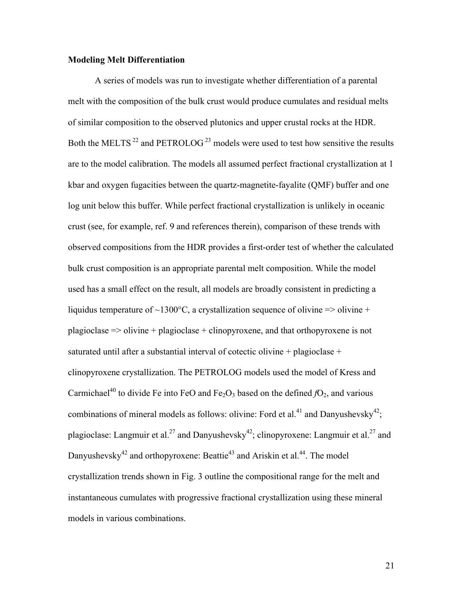## **Modeling Melt Differentiation**

A series of models was run to investigate whether differentiation of a parental melt with the composition of the bulk crust would produce cumulates and residual melts of similar composition to the observed plutonics and upper crustal rocks at the HDR. Both the MELTS<sup>22</sup> and PETROLOG<sup>23</sup> models were used to test how sensitive the results are to the model calibration. The models all assumed perfect fractional crystallization at 1 kbar and oxygen fugacities between the quartz-magnetite-fayalite (QMF) buffer and one log unit below this buffer. While perfect fractional crystallization is unlikely in oceanic crust (see, for example, ref. 9 and references therein), comparison of these trends with observed compositions from the HDR provides a first-order test of whether the calculated bulk crust composition is an appropriate parental melt composition. While the model used has a small effect on the result, all models are broadly consistent in predicting a liquidus temperature of ~1300 $^{\circ}$ C, a crystallization sequence of olivine => olivine + plagioclase => olivine + plagioclase + clinopyroxene, and that orthopyroxene is not saturated until after a substantial interval of cotectic olivine + plagioclase + clinopyroxene crystallization. The PETROLOG models used the model of Kress and Carmichael<sup>40</sup> to divide Fe into FeO and Fe<sub>2</sub>O<sub>3</sub> based on the defined  $fO_2$ , and various combinations of mineral models as follows: olivine: Ford et al.<sup>41</sup> and Danyushevsky<sup>42</sup>; plagioclase: Langmuir et al.<sup>27</sup> and Danyushevsky<sup>42</sup>; clinopyroxene: Langmuir et al.<sup>27</sup> and Danyushevsky<sup>42</sup> and orthopyroxene: Beattie<sup>43</sup> and Ariskin et al.<sup>44</sup>. The model crystallization trends shown in Fig. 3 outline the compositional range for the melt and instantaneous cumulates with progressive fractional crystallization using these mineral models in various combinations.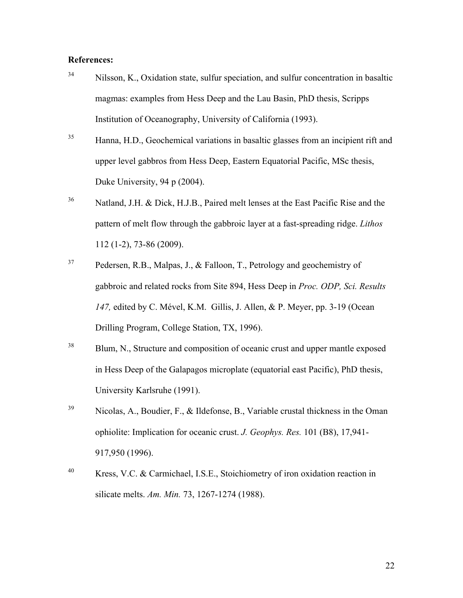## **References:**

- <sup>34</sup> Nilsson, K., Oxidation state, sulfur speciation, and sulfur concentration in basaltic magmas: examples from Hess Deep and the Lau Basin, PhD thesis, Scripps Institution of Oceanography, University of California (1993).
- <sup>35</sup> Hanna, H.D., Geochemical variations in basaltic glasses from an incipient rift and upper level gabbros from Hess Deep, Eastern Equatorial Pacific, MSc thesis, Duke University, 94 p (2004).
- <sup>36</sup> Natland, J.H. & Dick, H.J.B., Paired melt lenses at the East Pacific Rise and the pattern of melt flow through the gabbroic layer at a fast-spreading ridge. *Lithos* 112 (1-2), 73-86 (2009).
- <sup>37</sup> Pedersen, R.B., Malpas, J., & Falloon, T., Petrology and geochemistry of gabbroic and related rocks from Site 894, Hess Deep in *Proc. ODP, Sci. Results 147,* edited by C. Mével, K.M. Gillis, J. Allen, & P. Meyer, pp. 3-19 (Ocean Drilling Program, College Station, TX, 1996).
- <sup>38</sup> Blum, N., Structure and composition of oceanic crust and upper mantle exposed in Hess Deep of the Galapagos microplate (equatorial east Pacific), PhD thesis, University Karlsruhe (1991).
- <sup>39</sup> Nicolas, A., Boudier, F., & Ildefonse, B., Variable crustal thickness in the Oman ophiolite: Implication for oceanic crust. *J. Geophys. Res.* 101 (B8), 17,941- 917,950 (1996).
- <sup>40</sup> Kress, V.C. & Carmichael, I.S.E., Stoichiometry of iron oxidation reaction in silicate melts. *Am. Min.* 73, 1267-1274 (1988).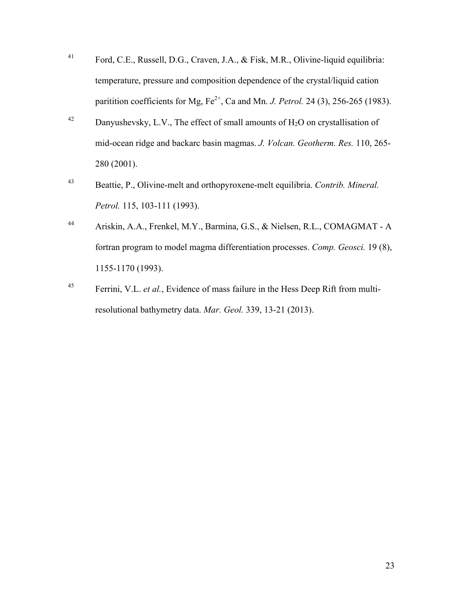- <sup>41</sup> Ford, C.E., Russell, D.G., Craven, J.A., & Fisk, M.R., Olivine-liquid equilibria: temperature, pressure and composition dependence of the crystal/liquid cation paritition coefficients for Mg,  $Fe^{2+}$ , Ca and Mn. *J. Petrol.* 24 (3), 256-265 (1983).
- <sup>42</sup> Danyushevsky, L.V., The effect of small amounts of  $H_2O$  on crystallisation of mid-ocean ridge and backarc basin magmas. *J. Volcan. Geotherm. Res.* 110, 265- 280 (2001).
- <sup>43</sup> Beattie, P., Olivine-melt and orthopyroxene-melt equilibria. *Contrib. Mineral. Petrol.* 115, 103-111 (1993).
- <sup>44</sup> Ariskin, A.A., Frenkel, M.Y., Barmina, G.S., & Nielsen, R.L., COMAGMAT A fortran program to model magma differentiation processes. *Comp. Geosci.* 19 (8), 1155-1170 (1993).
- <sup>45</sup> Ferrini, V.L. *et al.*, Evidence of mass failure in the Hess Deep Rift from multiresolutional bathymetry data. *Mar. Geol.* 339, 13-21 (2013).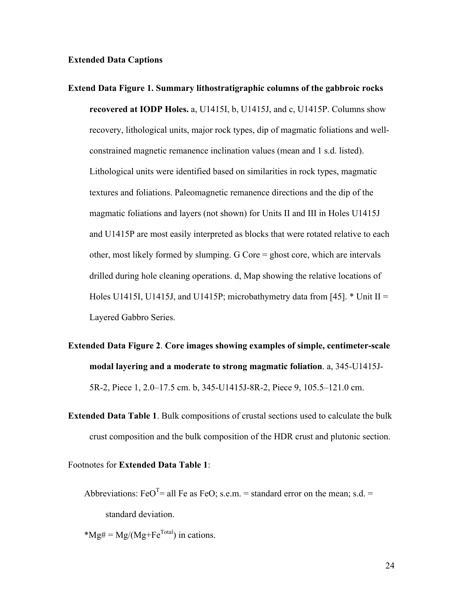## **Extended Data Captions**

- **Extend Data Figure 1. Summary lithostratigraphic columns of the gabbroic rocks recovered at IODP Holes.** a, U1415I, b, U1415J, and c, U1415P. Columns show recovery, lithological units, major rock types, dip of magmatic foliations and wellconstrained magnetic remanence inclination values (mean and 1 s.d. listed). Lithological units were identified based on similarities in rock types, magmatic textures and foliations. Paleomagnetic remanence directions and the dip of the magmatic foliations and layers (not shown) for Units II and III in Holes U1415J and U1415P are most easily interpreted as blocks that were rotated relative to each other, most likely formed by slumping. G Core = ghost core, which are intervals drilled during hole cleaning operations. d, Map showing the relative locations of Holes U1415I, U1415J, and U1415P; microbathymetry data from [45].  $*$  Unit II = Layered Gabbro Series.
- **Extended Data Figure 2**. **Core images showing examples of simple, centimeter-scale modal layering and a moderate to strong magmatic foliation**. a, 345-U1415J-5R-2, Piece 1, 2.0–17.5 cm. b, 345-U1415J-8R-2, Piece 9, 105.5–121.0 cm.
- **Extended Data Table 1**. Bulk compositions of crustal sections used to calculate the bulk crust composition and the bulk composition of the HDR crust and plutonic section.
- Footnotes for **Extended Data Table 1**:
	- Abbreviations: FeO<sup>T</sup>= all Fe as FeO; s.e.m. = standard error on the mean; s.d. = standard deviation.
	- $*Mg# = Mg/(Mg + Fe^{Total})$  in cations.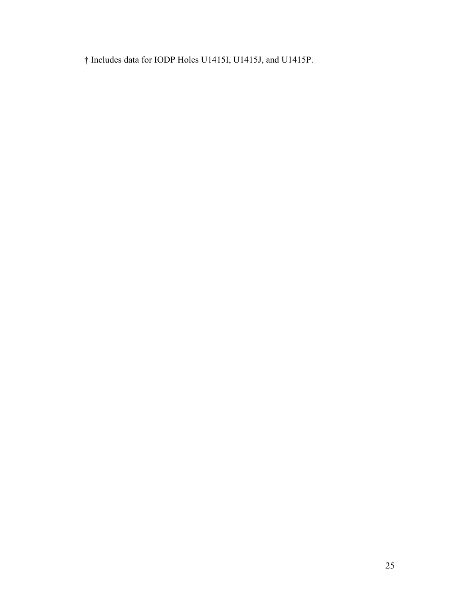**†** Includes data for IODP Holes U1415I, U1415J, and U1415P.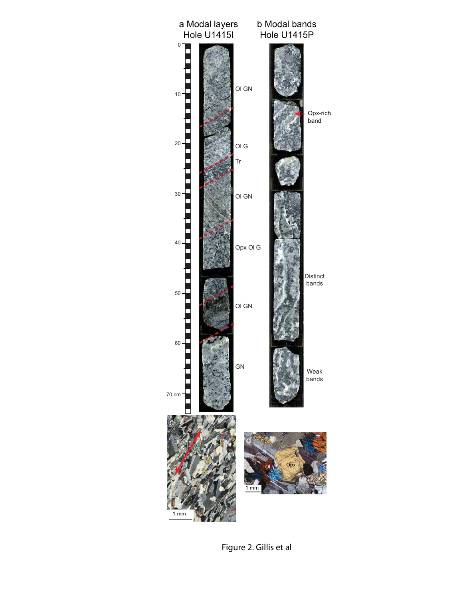

Figure 2. Gillis et al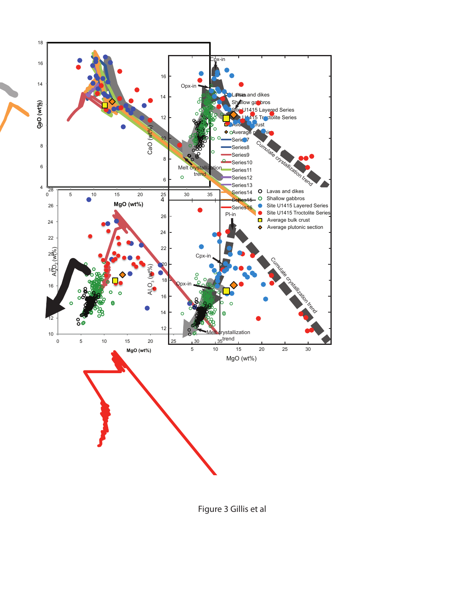

Figure 3 Gillis et al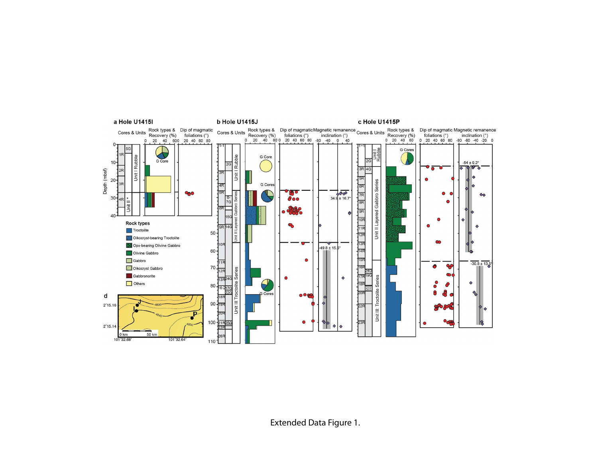

Extended Data Figure 1.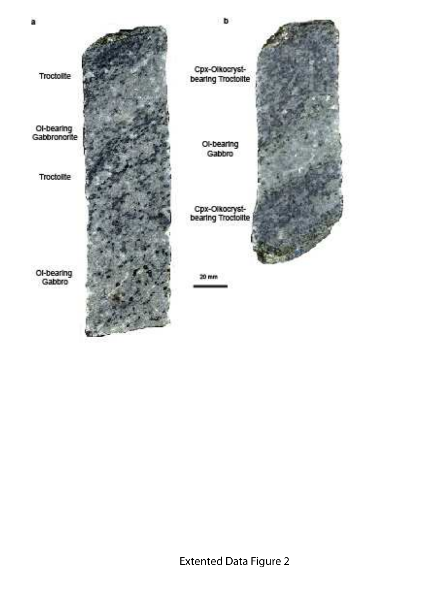